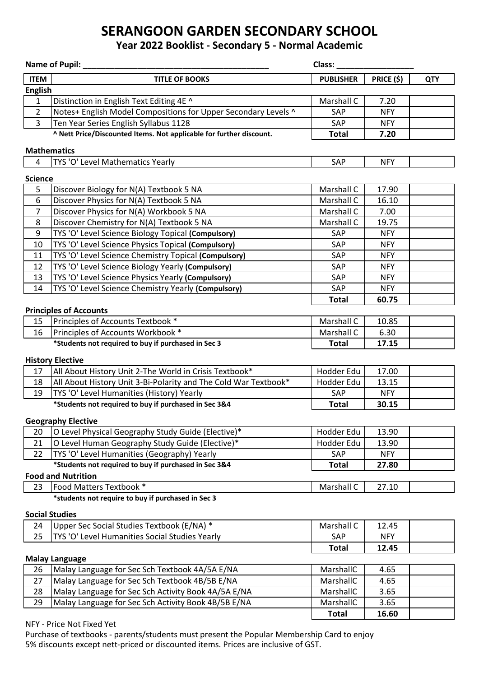## **SERANGOON GARDEN SECONDARY SCHOOL**

## **Year 2022 Booklist - Secondary 5 - Normal Academic**

|                           | <b>Name of Pupil:</b>                                               | Class:           |            |            |  |  |  |  |  |
|---------------------------|---------------------------------------------------------------------|------------------|------------|------------|--|--|--|--|--|
| <b>ITEM</b>               | <b>TITLE OF BOOKS</b>                                               | <b>PUBLISHER</b> | PRICE (\$) | <b>QTY</b> |  |  |  |  |  |
| <b>English</b>            |                                                                     |                  |            |            |  |  |  |  |  |
| $\mathbf{1}$              | Distinction in English Text Editing 4E ^                            | Marshall C       | 7.20       |            |  |  |  |  |  |
| $\overline{2}$            | Notes+ English Model Compositions for Upper Secondary Levels ^      | SAP              | <b>NFY</b> |            |  |  |  |  |  |
| $\overline{3}$            | Ten Year Series English Syllabus 1128                               | SAP              | <b>NFY</b> |            |  |  |  |  |  |
|                           | ^ Nett Price/Discounted Items. Not applicable for further discount. | <b>Total</b>     | 7.20       |            |  |  |  |  |  |
| <b>Mathematics</b>        |                                                                     |                  |            |            |  |  |  |  |  |
| 4                         | TYS 'O' Level Mathematics Yearly                                    | SAP              | <b>NFY</b> |            |  |  |  |  |  |
|                           |                                                                     |                  |            |            |  |  |  |  |  |
| <b>Science</b>            |                                                                     |                  |            |            |  |  |  |  |  |
| 5                         | Discover Biology for N(A) Textbook 5 NA                             | Marshall C       | 17.90      |            |  |  |  |  |  |
| 6                         | Discover Physics for N(A) Textbook 5 NA                             | Marshall C       | 16.10      |            |  |  |  |  |  |
| $\overline{7}$            | Discover Physics for N(A) Workbook 5 NA                             | Marshall C       | 7.00       |            |  |  |  |  |  |
| 8                         | Discover Chemistry for N(A) Textbook 5 NA                           | Marshall C       | 19.75      |            |  |  |  |  |  |
| 9                         | TYS 'O' Level Science Biology Topical (Compulsory)                  | SAP              | <b>NFY</b> |            |  |  |  |  |  |
| 10                        | TYS 'O' Level Science Physics Topical (Compulsory)                  | SAP              | <b>NFY</b> |            |  |  |  |  |  |
| 11                        | TYS 'O' Level Science Chemistry Topical (Compulsory)                | SAP              | <b>NFY</b> |            |  |  |  |  |  |
| 12                        | TYS 'O' Level Science Biology Yearly (Compulsory)                   | SAP              | <b>NFY</b> |            |  |  |  |  |  |
| 13                        | TYS 'O' Level Science Physics Yearly (Compulsory)                   | SAP              | <b>NFY</b> |            |  |  |  |  |  |
| 14                        | TYS 'O' Level Science Chemistry Yearly (Compulsory)                 | SAP              | <b>NFY</b> |            |  |  |  |  |  |
|                           |                                                                     | <b>Total</b>     | 60.75      |            |  |  |  |  |  |
|                           | <b>Principles of Accounts</b>                                       |                  |            |            |  |  |  |  |  |
| 15                        | Principles of Accounts Textbook *                                   | Marshall C       | 10.85      |            |  |  |  |  |  |
| 16                        | Principles of Accounts Workbook *                                   | Marshall C       | 6.30       |            |  |  |  |  |  |
|                           | *Students not required to buy if purchased in Sec 3                 | <b>Total</b>     | 17.15      |            |  |  |  |  |  |
|                           | <b>History Elective</b>                                             |                  |            |            |  |  |  |  |  |
| 17                        | All About History Unit 2-The World in Crisis Textbook*              | Hodder Edu       | 17.00      |            |  |  |  |  |  |
| 18                        | All About History Unit 3-Bi-Polarity and The Cold War Textbook*     | Hodder Edu       | 13.15      |            |  |  |  |  |  |
| 19                        | TYS 'O' Level Humanities (History) Yearly                           | SAP              | <b>NFY</b> |            |  |  |  |  |  |
|                           | *Students not required to buy if purchased in Sec 3&4               | <b>Total</b>     | 30.15      |            |  |  |  |  |  |
|                           |                                                                     |                  |            |            |  |  |  |  |  |
| <b>Geography Elective</b> |                                                                     |                  |            |            |  |  |  |  |  |
| 20                        | O Level Physical Geography Study Guide (Elective)*                  | Hodder Edu       | 13.90      |            |  |  |  |  |  |
| 21                        | O Level Human Geography Study Guide (Elective)*                     | Hodder Edu       | 13.90      |            |  |  |  |  |  |
| 22                        | TYS 'O' Level Humanities (Geography) Yearly                         | SAP              | <b>NFY</b> |            |  |  |  |  |  |
|                           | *Students not required to buy if purchased in Sec 3&4               | <b>Total</b>     | 27.80      |            |  |  |  |  |  |
|                           | <b>Food and Nutrition</b>                                           |                  |            |            |  |  |  |  |  |
| 23                        | Food Matters Textbook *                                             | Marshall C       | 27.10      |            |  |  |  |  |  |
|                           | *students not require to buy if purchased in Sec 3                  |                  |            |            |  |  |  |  |  |
|                           | <b>Social Studies</b>                                               |                  |            |            |  |  |  |  |  |
| 24                        | Upper Sec Social Studies Textbook (E/NA) *                          | Marshall C       | 12.45      |            |  |  |  |  |  |
| 25                        | TYS 'O' Level Humanities Social Studies Yearly                      | SAP              | <b>NFY</b> |            |  |  |  |  |  |
|                           |                                                                     | <b>Total</b>     | 12.45      |            |  |  |  |  |  |
|                           | <b>Malay Language</b>                                               |                  |            |            |  |  |  |  |  |
| 26                        | Malay Language for Sec Sch Textbook 4A/5A E/NA                      | MarshallC        | 4.65       |            |  |  |  |  |  |
| 27                        | Malay Language for Sec Sch Textbook 4B/5B E/NA                      | MarshallC        | 4.65       |            |  |  |  |  |  |
| 28                        | Malay Language for Sec Sch Activity Book 4A/5A E/NA                 | MarshallC        | 3.65       |            |  |  |  |  |  |
| 29                        | Malay Language for Sec Sch Activity Book 4B/5B E/NA                 | MarshallC        | 3.65       |            |  |  |  |  |  |
|                           |                                                                     | <b>Total</b>     | 16.60      |            |  |  |  |  |  |
| NFY - Price Not Fixed Yet |                                                                     |                  |            |            |  |  |  |  |  |

Purchase of textbooks - parents/students must present the Popular Membership Card to enjoy 5% discounts except nett-priced or discounted items. Prices are inclusive of GST.